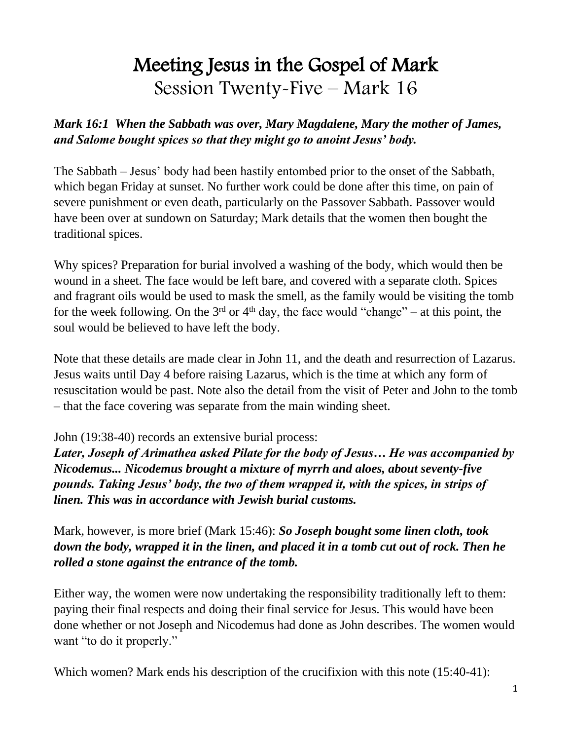# Meeting Jesus in the Gospel of Mark Session Twenty-Five – Mark 16

#### *Mark 16:1 When the Sabbath was over, Mary Magdalene, Mary the mother of James, and Salome bought spices so that they might go to anoint Jesus' body.*

The Sabbath – Jesus' body had been hastily entombed prior to the onset of the Sabbath, which began Friday at sunset. No further work could be done after this time, on pain of severe punishment or even death, particularly on the Passover Sabbath. Passover would have been over at sundown on Saturday; Mark details that the women then bought the traditional spices.

Why spices? Preparation for burial involved a washing of the body, which would then be wound in a sheet. The face would be left bare, and covered with a separate cloth. Spices and fragrant oils would be used to mask the smell, as the family would be visiting the tomb for the week following. On the  $3<sup>rd</sup>$  or  $4<sup>th</sup>$  day, the face would "change" – at this point, the soul would be believed to have left the body.

Note that these details are made clear in John 11, and the death and resurrection of Lazarus. Jesus waits until Day 4 before raising Lazarus, which is the time at which any form of resuscitation would be past. Note also the detail from the visit of Peter and John to the tomb – that the face covering was separate from the main winding sheet.

#### John (19:38-40) records an extensive burial process:

*Later, Joseph of Arimathea asked Pilate for the body of Jesus… He was accompanied by Nicodemus... Nicodemus brought a mixture of myrrh and aloes, about seventy-five pounds. Taking Jesus' body, the two of them wrapped it, with the spices, in strips of linen. This was in accordance with Jewish burial customs.*

Mark, however, is more brief (Mark 15:46): *So Joseph bought some linen cloth, took down the body, wrapped it in the linen, and placed it in a tomb cut out of rock. Then he rolled a stone against the entrance of the tomb.*

Either way, the women were now undertaking the responsibility traditionally left to them: paying their final respects and doing their final service for Jesus. This would have been done whether or not Joseph and Nicodemus had done as John describes. The women would want "to do it properly."

Which women? Mark ends his description of the crucifixion with this note (15:40-41):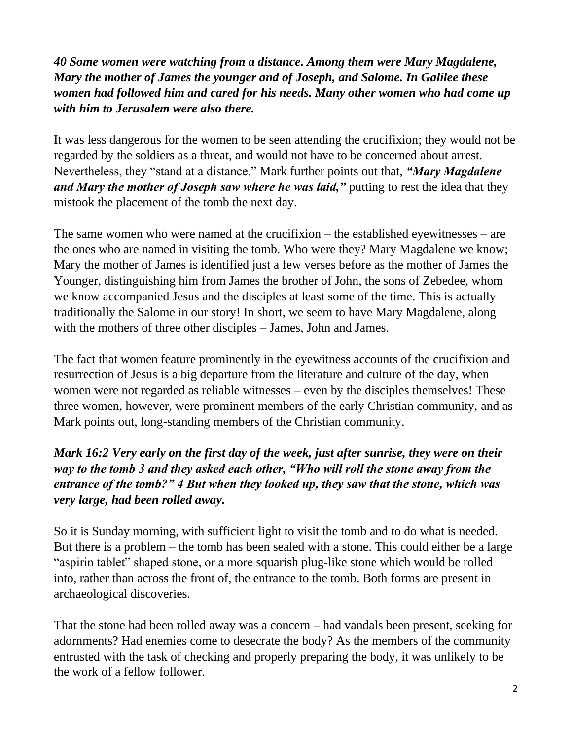*40 Some women were watching from a distance. Among them were Mary Magdalene, Mary the mother of James the younger and of Joseph, and Salome. In Galilee these women had followed him and cared for his needs. Many other women who had come up with him to Jerusalem were also there.*

It was less dangerous for the women to be seen attending the crucifixion; they would not be regarded by the soldiers as a threat, and would not have to be concerned about arrest. Nevertheless, they "stand at a distance." Mark further points out that, *"Mary Magdalene and Mary the mother of Joseph saw where he was laid,"* putting to rest the idea that they mistook the placement of the tomb the next day.

The same women who were named at the crucifixion – the established eyewitnesses – are the ones who are named in visiting the tomb. Who were they? Mary Magdalene we know; Mary the mother of James is identified just a few verses before as the mother of James the Younger, distinguishing him from James the brother of John, the sons of Zebedee, whom we know accompanied Jesus and the disciples at least some of the time. This is actually traditionally the Salome in our story! In short, we seem to have Mary Magdalene, along with the mothers of three other disciples – James, John and James.

The fact that women feature prominently in the eyewitness accounts of the crucifixion and resurrection of Jesus is a big departure from the literature and culture of the day, when women were not regarded as reliable witnesses – even by the disciples themselves! These three women, however, were prominent members of the early Christian community, and as Mark points out, long-standing members of the Christian community.

## *Mark 16:2 Very early on the first day of the week, just after sunrise, they were on their way to the tomb 3 and they asked each other, "Who will roll the stone away from the entrance of the tomb?" 4 But when they looked up, they saw that the stone, which was very large, had been rolled away.*

So it is Sunday morning, with sufficient light to visit the tomb and to do what is needed. But there is a problem – the tomb has been sealed with a stone. This could either be a large "aspirin tablet" shaped stone, or a more squarish plug-like stone which would be rolled into, rather than across the front of, the entrance to the tomb. Both forms are present in archaeological discoveries.

That the stone had been rolled away was a concern – had vandals been present, seeking for adornments? Had enemies come to desecrate the body? As the members of the community entrusted with the task of checking and properly preparing the body, it was unlikely to be the work of a fellow follower.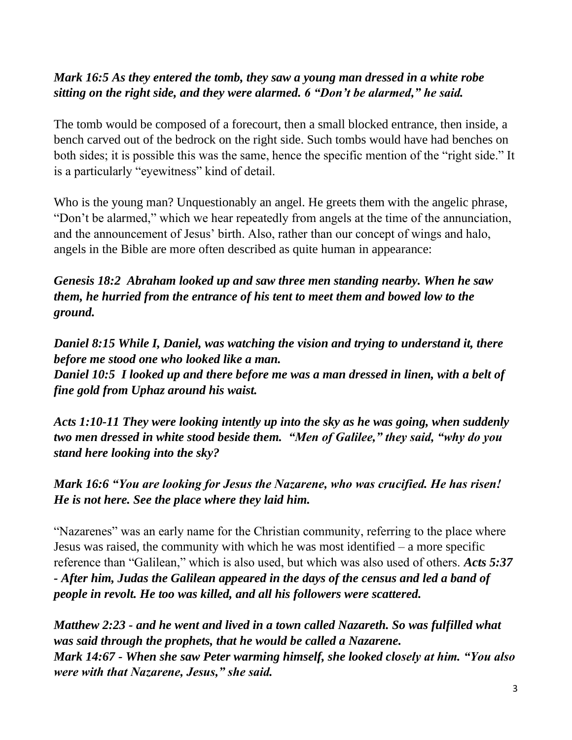#### *Mark 16:5 As they entered the tomb, they saw a young man dressed in a white robe sitting on the right side, and they were alarmed. 6 "Don't be alarmed," he said.*

The tomb would be composed of a forecourt, then a small blocked entrance, then inside, a bench carved out of the bedrock on the right side. Such tombs would have had benches on both sides; it is possible this was the same, hence the specific mention of the "right side." It is a particularly "eyewitness" kind of detail.

Who is the young man? Unquestionably an angel. He greets them with the angelic phrase, "Don't be alarmed," which we hear repeatedly from angels at the time of the annunciation, and the announcement of Jesus' birth. Also, rather than our concept of wings and halo, angels in the Bible are more often described as quite human in appearance:

*Genesis 18:2 Abraham looked up and saw three men standing nearby. When he saw them, he hurried from the entrance of his tent to meet them and bowed low to the ground.*

*Daniel 8:15 While I, Daniel, was watching the vision and trying to understand it, there before me stood one who looked like a man.*

*Daniel 10:5 I looked up and there before me was a man dressed in linen, with a belt of fine gold from Uphaz around his waist.*

*Acts 1:10-11 They were looking intently up into the sky as he was going, when suddenly two men dressed in white stood beside them. "Men of Galilee," they said, "why do you stand here looking into the sky?*

*Mark 16:6 "You are looking for Jesus the Nazarene, who was crucified. He has risen! He is not here. See the place where they laid him.* 

"Nazarenes" was an early name for the Christian community, referring to the place where Jesus was raised, the community with which he was most identified – a more specific reference than "Galilean," which is also used, but which was also used of others. *Acts 5:37 - After him, Judas the Galilean appeared in the days of the census and led a band of people in revolt. He too was killed, and all his followers were scattered.*

*Matthew 2:23 - and he went and lived in a town called Nazareth. So was fulfilled what was said through the prophets, that he would be called a Nazarene. Mark 14:67 - When she saw Peter warming himself, she looked closely at him. "You also were with that Nazarene, Jesus," she said.*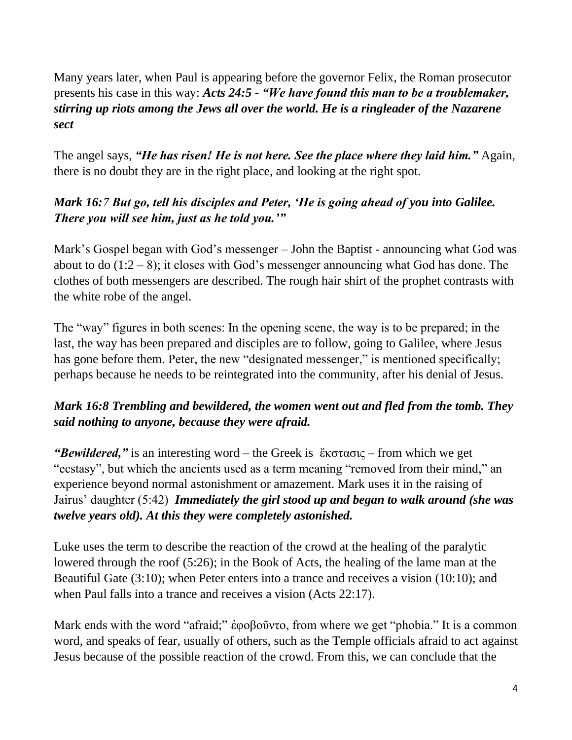Many years later, when Paul is appearing before the governor Felix, the Roman prosecutor presents his case in this way: *Acts 24:5 - "We have found this man to be a troublemaker, stirring up riots among the Jews all over the world. He is a ringleader of the Nazarene sect*

The angel says, *"He has risen! He is not here. See the place where they laid him."* Again, there is no doubt they are in the right place, and looking at the right spot.

### *Mark 16:7 But go, tell his disciples and Peter, 'He is going ahead of you into Galilee. There you will see him, just as he told you.'"*

Mark's Gospel began with God's messenger – John the Baptist - announcing what God was about to do  $(1:2 - 8)$ ; it closes with God's messenger announcing what God has done. The clothes of both messengers are described. The rough hair shirt of the prophet contrasts with the white robe of the angel.

The "way" figures in both scenes: In the opening scene, the way is to be prepared; in the last, the way has been prepared and disciples are to follow, going to Galilee, where Jesus has gone before them. Peter, the new "designated messenger," is mentioned specifically; perhaps because he needs to be reintegrated into the community, after his denial of Jesus.

## *Mark 16:8 Trembling and bewildered, the women went out and fled from the tomb. They said nothing to anyone, because they were afraid.*

*"Bewildered,"* is an interesting word – the Greek is ἔκστασις – from which we get "ecstasy", but which the ancients used as a term meaning "removed from their mind," an experience beyond normal astonishment or amazement. Mark uses it in the raising of Jairus' daughter (5:42) *Immediately the girl stood up and began to walk around (she was twelve years old). At this they were completely astonished.*

Luke uses the term to describe the reaction of the crowd at the healing of the paralytic lowered through the roof (5:26); in the Book of Acts, the healing of the lame man at the Beautiful Gate (3:10); when Peter enters into a trance and receives a vision (10:10); and when Paul falls into a trance and receives a vision (Acts 22:17).

Mark ends with the word "afraid;" ἐφοβοῦντο, from where we get "phobia." It is a common word, and speaks of fear, usually of others, such as the Temple officials afraid to act against Jesus because of the possible reaction of the crowd. From this, we can conclude that the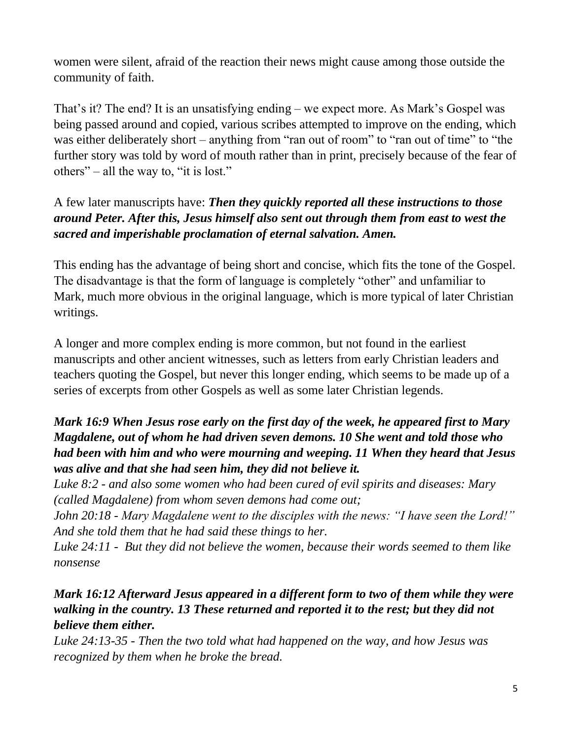women were silent, afraid of the reaction their news might cause among those outside the community of faith.

That's it? The end? It is an unsatisfying ending – we expect more. As Mark's Gospel was being passed around and copied, various scribes attempted to improve on the ending, which was either deliberately short – anything from "ran out of room" to "ran out of time" to "the further story was told by word of mouth rather than in print, precisely because of the fear of others" – all the way to, "it is lost."

## A few later manuscripts have: *Then they quickly reported all these instructions to those around Peter. After this, Jesus himself also sent out through them from east to west the sacred and imperishable proclamation of eternal salvation. Amen.*

This ending has the advantage of being short and concise, which fits the tone of the Gospel. The disadvantage is that the form of language is completely "other" and unfamiliar to Mark, much more obvious in the original language, which is more typical of later Christian writings.

A longer and more complex ending is more common, but not found in the earliest manuscripts and other ancient witnesses, such as letters from early Christian leaders and teachers quoting the Gospel, but never this longer ending, which seems to be made up of a series of excerpts from other Gospels as well as some later Christian legends.

### *Mark 16:9 When Jesus rose early on the first day of the week, he appeared first to Mary Magdalene, out of whom he had driven seven demons. 10 She went and told those who had been with him and who were mourning and weeping. 11 When they heard that Jesus was alive and that she had seen him, they did not believe it.*

*Luke 8:2 - and also some women who had been cured of evil spirits and diseases: Mary (called Magdalene) from whom seven demons had come out;*

*John 20:18 - Mary Magdalene went to the disciples with the news: "I have seen the Lord!" And she told them that he had said these things to her.*

*Luke 24:11 - But they did not believe the women, because their words seemed to them like nonsense*

## *Mark 16:12 Afterward Jesus appeared in a different form to two of them while they were walking in the country. 13 These returned and reported it to the rest; but they did not believe them either.*

*Luke 24:13-35 - Then the two told what had happened on the way, and how Jesus was recognized by them when he broke the bread.*